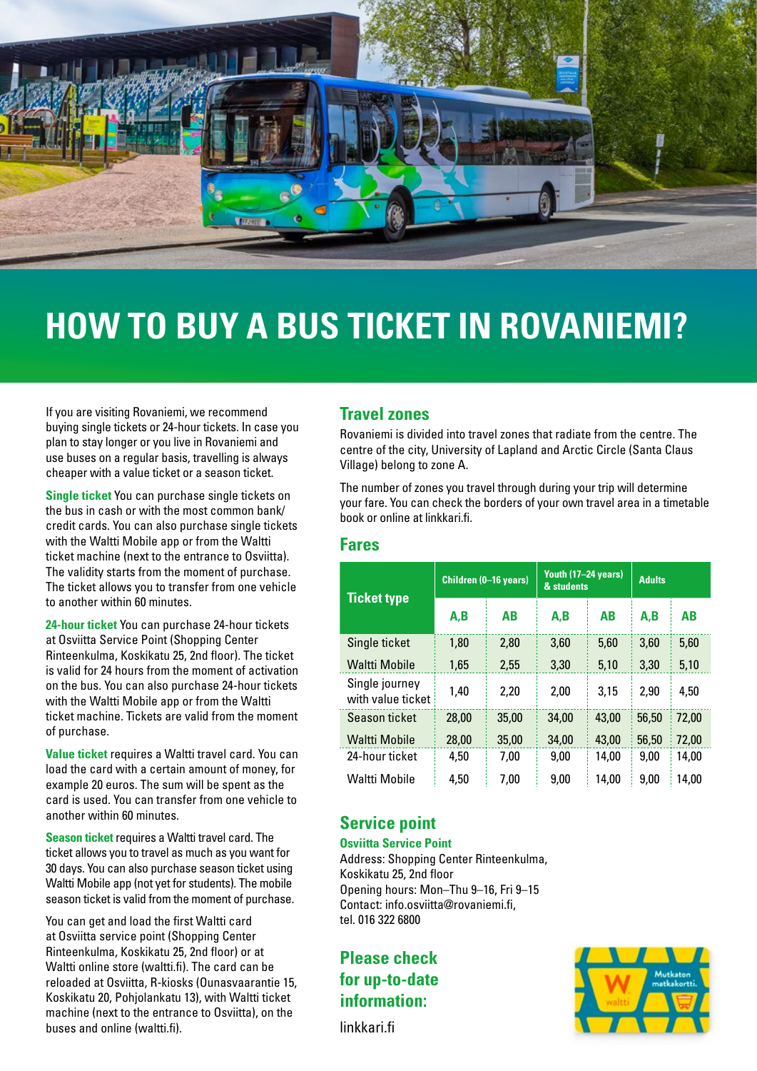

# **HOW TO BUY A BUS TICKET IN ROVANIEMI?**

If you are visiting Rovaniemi, we recommend buying single tickets or 24-hour tickets. In case you plan to stay longer or you live in Rovaniemi and use buses on a regular basis, travelling is always cheaper with a value ticket or a season ticket.

**Single ticket** You can purchase single tickets on the bus in cash or with the most common bank/ credit cards. You can also purchase single tickets with the Waltti Mobile app or from the Waltti ticket machine (next to the entrance to Osviitta). The validity starts from the moment of purchase. The ticket allows you to transfer from one vehicle to another within 60 minutes.

**24-hour ticket** You can purchase 24-hour tickets at Osviitta Service Point (Shopping Center Rinteenkulma, Koskikatu 25, 2nd floor). The ticket is valid for 24 hours from the moment of activation on the bus. You can also purchase 24-hour tickets with the Waltti Mobile app or from the Waltti ticket machine. Tickets are valid from the moment of purchase.

**Value ticket** requires a Waltti travel card. You can load the card with a certain amount of money, for example 20 euros. The sum will be spent as the card is used. You can transfer from one vehicle to another within 60 minutes.

**Season ticket** requires a Waltti travel card. The ticket allows you to travel as much as you want for 30 days. You can also purchase season ticket using Waltti Mobile app (not yet for students). The mobile season ticket is valid from the moment of purchase.

You can get and load the first Waltti card at Osviitta service point (Shopping Center Rinteenkulma, Koskikatu 25, 2nd floor) or at Waltti online store (waltti.fi). The card can be reloaded at Osviitta, R-kiosks (Ounasvaarantie 15, Koskikatu 20, Pohjolankatu 13), with Waltti ticket machine (next to the entrance to Osviitta), on the buses and online (waltti.fi).

## **Travel zones**

Rovaniemi is divided into travel zones that radiate from the centre. The centre of the city, University of Lapland and Arctic Circle (Santa Claus Village) belong to zone A.

The number of zones you travel through during your trip will determine your fare. You can check the borders of your own travel area in a timetable book or online at linkkari.fi.

### **Fares**

| <b>Ticket type</b>                  | Children (0-16 years) |           | Youth (17-24 years)<br>& students |       | <b>Adults</b> |           |
|-------------------------------------|-----------------------|-----------|-----------------------------------|-------|---------------|-----------|
|                                     | A.B                   | <b>AB</b> | A.B                               | AB    | A.B           | <b>AB</b> |
| Single ticket                       | 1,80                  | 2,80      | 3,60                              | 5,60  | 3,60          | 5,60      |
| Waltti Mobile                       | 1,65                  | 2,55      | 3,30                              | 5,10  | 3,30          | 5,10      |
| Single journey<br>with value ticket | 1,40                  | 2,20      | 2,00                              | 3,15  | 2,90          | 4,50      |
| Season ticket                       | 28,00                 | 35,00     | 34.00                             | 43,00 | 56,50         | 72,00     |
| <b>Waltti Mobile</b>                | 28,00                 | 35,00     | 34,00                             | 43,00 | 56,50         | 72,00     |
| 24-hour ticket                      | 4.50                  | 7,00      | 9,00                              | 14,00 | 9,00          | 14,00     |
| Waltti Mobile                       | 4,50                  | 7,00      | 9,00                              | 14,00 | 9,00          | 14,00     |

## **Service point**

#### **Osviitta Service Point**

Address: Shopping Center Rinteenkulma, Koskikatu 25, 2nd floor Opening hours: Mon–Thu 9–16, Fri 9–15 Contact: info.osviitta@rovaniemi.fi, tel. 016 322 6800

**Please check for up-to-date information:**

linkkari.fi